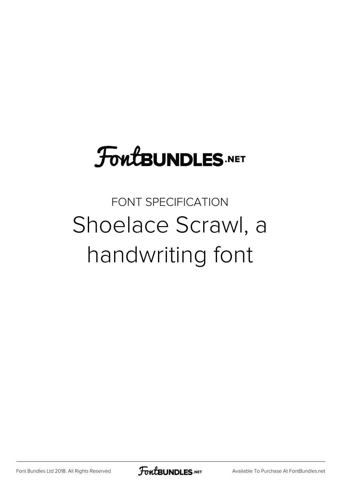# **FoutBUNDLES.NET**

# FONT SPECIFICATION Shoelace Scrawl, a handwriting font

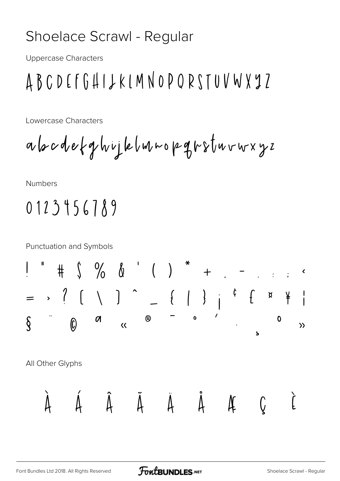#### Shoelace Scrawl - Regular

**Uppercase Characters** 

## ABCDEFGHIJKIMNOPQRSTUVWXYZ

Lowercase Characters

**Numbers** 

## $0123456789$

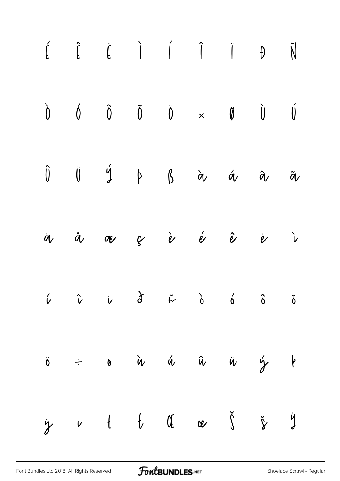|  | $\begin{matrix} \hat{L} & \hat{L} & \hat{L} & \hat{I} & \hat{I} & \hat{I} & \hat{I} & \hat{I} & \hat{N} \end{matrix}$                                                                                                                                                                                                                                                                                                                                                                  |  |  |  |
|--|----------------------------------------------------------------------------------------------------------------------------------------------------------------------------------------------------------------------------------------------------------------------------------------------------------------------------------------------------------------------------------------------------------------------------------------------------------------------------------------|--|--|--|
|  | $\begin{array}{ccccccccccccccccc} \hat{0} && \hat{0} && \hat{0} && \hat{0} && \hat{0} && \times && \hat{\emptyset} && \hat{\emptyset} && \hat{\emptyset} \end{array}$                                                                                                                                                                                                                                                                                                                  |  |  |  |
|  | $\begin{matrix} \hat{\textbf{U}} & \hat{\textbf{U}} & \hat{\textbf{Y}} & \hat{\textbf{Y}} & \hat{\textbf{Q}} & \hat{\textbf{Q}} & \hat{\textbf{Q}} & \hat{\textbf{Q}} & \hat{\textbf{Q}} & \hat{\textbf{Q}} & \hat{\textbf{Q}} & \hat{\textbf{Q}} & \hat{\textbf{Q}} & \hat{\textbf{Q}} & \hat{\textbf{Q}} & \hat{\textbf{Q}} & \hat{\textbf{Q}} & \hat{\textbf{Q}} & \hat{\textbf{Q}} & \hat{\textbf{Q}} & \hat{\textbf{Q}} & \hat{\textbf{Q}} & \hat{\textbf{Q}} & \hat{\textbf{Q}}$ |  |  |  |
|  | ä å æ ç è é ê ë ì                                                                                                                                                                                                                                                                                                                                                                                                                                                                      |  |  |  |
|  |                                                                                                                                                                                                                                                                                                                                                                                                                                                                                        |  |  |  |
|  | $\ddot{o}$ $\div$ $\circ$ $\alpha$ $\ddot{\alpha}$ $\ddot{\alpha}$ $\ddot{\alpha}$ $\ddot{\gamma}$ $\ddot{\gamma}$                                                                                                                                                                                                                                                                                                                                                                     |  |  |  |
|  | $\ddot{y}$ v t t of a $\check{y}$ $\check{y}$ $\ddot{y}$                                                                                                                                                                                                                                                                                                                                                                                                                               |  |  |  |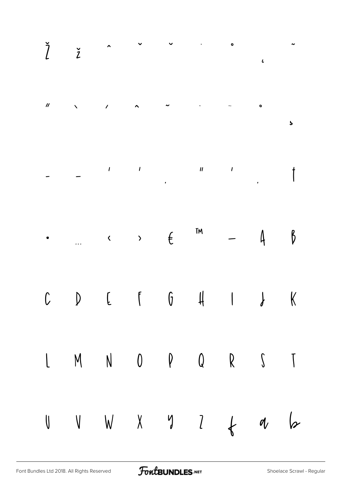|  | $\check{l}$ $\check{z}$ $\sim$ $\sim$ $\sim$ $\sim$                                           |  |  |  |
|--|-----------------------------------------------------------------------------------------------|--|--|--|
|  |                                                                                               |  |  |  |
|  |                                                                                               |  |  |  |
|  | $\cdot$ . $\cdot$ , $\in$ $\mathbb{M}$ $-$ 4 $\beta$                                          |  |  |  |
|  | $C\qquad D\qquad\text{E}\qquad f\qquad 6\qquad H\qquad\text{I}\qquad \text{J}\qquad \text{K}$ |  |  |  |
|  | $\begin{matrix} 1 & M & N & 0 & P & Q & R & S & T \end{matrix}$                               |  |  |  |
|  | $U$ $V$ $N$ $X$ $Y$ $1$ $1$ $1$ $1$                                                           |  |  |  |